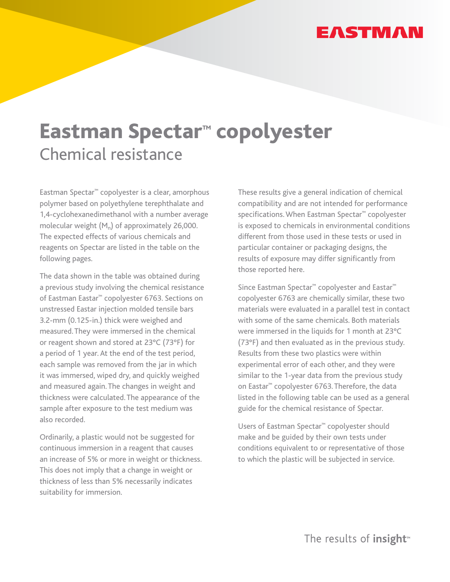# **EASTMAN**

# Eastman Spectar**™** copolyester Chemical resistance

Eastman Spectar™ copolyester is a clear, amorphous polymer based on polyethylene terephthalate and 1,4-cyclohexanedimethanol with a number average molecular weight  $(M_n)$  of approximately 26,000. The expected effects of various chemicals and reagents on Spectar are listed in the table on the following pages.

The data shown in the table was obtained during a previous study involving the chemical resistance of Eastman Eastar™ copolyester 6763. Sections on unstressed Eastar injection molded tensile bars 3.2-mm (0.125-in.) thick were weighed and measured. They were immersed in the chemical or reagent shown and stored at 23°C (73°F) for a period of 1 year. At the end of the test period, each sample was removed from the jar in which it was immersed, wiped dry, and quickly weighed and measured again. The changes in weight and thickness were calculated. The appearance of the sample after exposure to the test medium was also recorded.

Ordinarily, a plastic would not be suggested for continuous immersion in a reagent that causes an increase of 5% or more in weight or thickness. This does not imply that a change in weight or thickness of less than 5% necessarily indicates suitability for immersion.

These results give a general indication of chemical compatibility and are not intended for performance specifications. When Eastman Spectar™ copolyester is exposed to chemicals in environmental conditions different from those used in these tests or used in particular container or packaging designs, the results of exposure may differ significantly from those reported here.

Since Eastman Spectar™ copolyester and Eastar™ copolyester 6763 are chemically similar, these two materials were evaluated in a parallel test in contact with some of the same chemicals. Both materials were immersed in the liquids for 1 month at 23°C (73°F) and then evaluated as in the previous study. Results from these two plastics were within experimental error of each other, and they were similar to the 1-year data from the previous study on Eastar™ copolyester 6763. Therefore, the data listed in the following table can be used as a general guide for the chemical resistance of Spectar.

Users of Eastman Spectar™ copolyester should make and be guided by their own tests under conditions equivalent to or representative of those to which the plastic will be subjected in service.

The results of insight<sup>™</sup>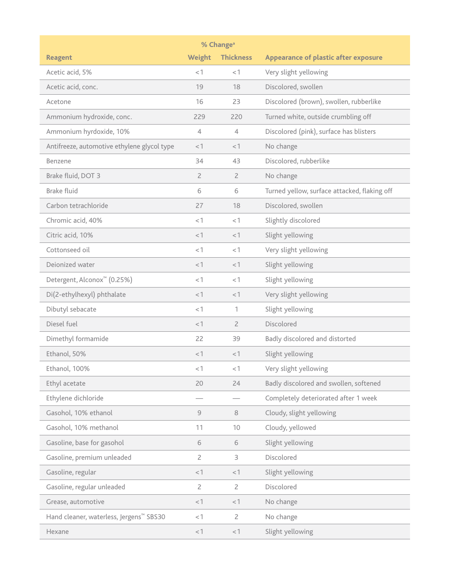| % Change <sup>a</sup>                               |                |                  |                                              |  |
|-----------------------------------------------------|----------------|------------------|----------------------------------------------|--|
| <b>Reagent</b>                                      | Weight         | <b>Thickness</b> | <b>Appearance of plastic after exposure</b>  |  |
| Acetic acid, 5%                                     | <1             | <1               | Very slight yellowing                        |  |
| Acetic acid, conc.                                  | 19             | 18               | Discolored, swollen                          |  |
| Acetone                                             | 16             | 23               | Discolored (brown), swollen, rubberlike      |  |
| Ammonium hydroxide, conc.                           | 229            | 220              | Turned white, outside crumbling off          |  |
| Ammonium hyrdoxide, 10%                             | 4              | 4                | Discolored (pink), surface has blisters      |  |
| Antifreeze, automotive ethylene glycol type         | <1             | <1               | No change                                    |  |
| Benzene                                             | 34             | 43               | Discolored, rubberlike                       |  |
| Brake fluid, DOT 3                                  | $\overline{2}$ | 2                | No change                                    |  |
| <b>Brake fluid</b>                                  | 6              | 6                | Turned yellow, surface attacked, flaking off |  |
| Carbon tetrachloride                                | 27             | 18               | Discolored, swollen                          |  |
| Chromic acid, 40%                                   | <1             | <1               | Slightly discolored                          |  |
| Citric acid, 10%                                    | <1             | < 1              | Slight yellowing                             |  |
| Cottonseed oil                                      | <1             | <1               | Very slight yellowing                        |  |
| Deionized water                                     | <1             | < 1              | Slight yellowing                             |  |
| Detergent, Alconox <sup>™</sup> (0.25%)             | $<$ 1          | < 1              | Slight yellowing                             |  |
| Di(2-ethylhexyl) phthalate                          | <1             | <1               | Very slight yellowing                        |  |
| Dibutyl sebacate                                    | <1             | 1                | Slight yellowing                             |  |
| Diesel fuel                                         | $<$ 1          | 2                | Discolored                                   |  |
| Dimethyl formamide                                  | 22             | 39               | Badly discolored and distorted               |  |
| Ethanol, 50%                                        | < 1            | <1               | Slight yellowing                             |  |
| Ethanol, 100%                                       | < 1            | < 1              | Very slight yellowing                        |  |
| Ethyl acetate                                       | 20             | 24               | Badly discolored and swollen, softened       |  |
| Ethylene dichloride                                 |                |                  | Completely deteriorated after 1 week         |  |
| Gasohol, 10% ethanol                                | 9              | 8                | Cloudy, slight yellowing                     |  |
| Gasohol, 10% methanol                               | 11             | 10               | Cloudy, yellowed                             |  |
| Gasoline, base for gasohol                          | $\,$ 6 $\,$    | 6                | Slight yellowing                             |  |
| Gasoline, premium unleaded                          | $\overline{2}$ | 3                | Discolored                                   |  |
| Gasoline, regular                                   | < 1            | < 1              | Slight yellowing                             |  |
| Gasoline, regular unleaded                          | $\overline{2}$ | $\overline{2}$   | Discolored                                   |  |
| Grease, automotive                                  | < 1            | < 1              | No change                                    |  |
| Hand cleaner, waterless, Jergens <sup>™</sup> SBS30 | <1             | $\overline{2}$   | No change                                    |  |
| Hexane                                              | < 1            | < 1              | Slight yellowing                             |  |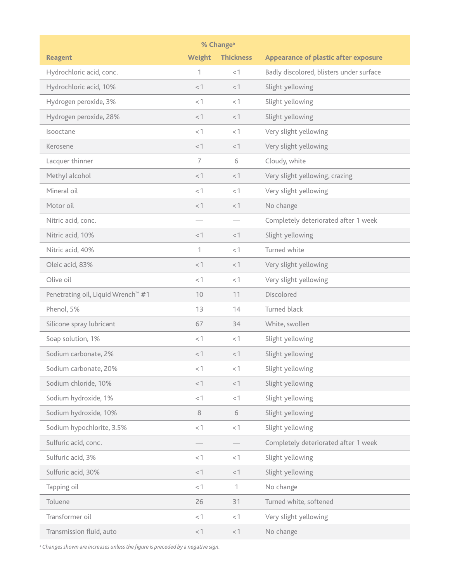| % Change <sup>a</sup>                          |                |                  |                                             |  |
|------------------------------------------------|----------------|------------------|---------------------------------------------|--|
| <b>Reagent</b>                                 | Weight         | <b>Thickness</b> | <b>Appearance of plastic after exposure</b> |  |
| Hydrochloric acid, conc.                       | 1              | < 1              | Badly discolored, blisters under surface    |  |
| Hydrochloric acid, 10%                         | <1             | $<$ 1            | Slight yellowing                            |  |
| Hydrogen peroxide, 3%                          | <1             | <1               | Slight yellowing                            |  |
| Hydrogen peroxide, 28%                         | <1             | < 1              | Slight yellowing                            |  |
| Isooctane                                      | <1             | <1               | Very slight yellowing                       |  |
| Kerosene                                       | <1             | < 1              | Very slight yellowing                       |  |
| Lacquer thinner                                | $\overline{7}$ | 6                | Cloudy, white                               |  |
| Methyl alcohol                                 | <1             | <1               | Very slight yellowing, crazing              |  |
| Mineral oil                                    | < 1            | < 1              | Very slight yellowing                       |  |
| Motor oil                                      | < 1            | <1               | No change                                   |  |
| Nitric acid, conc.                             |                |                  | Completely deteriorated after 1 week        |  |
| Nitric acid, 10%                               | <1             | < 1              | Slight yellowing                            |  |
| Nitric acid, 40%                               | 1              | <1               | Turned white                                |  |
| Oleic acid, 83%                                | <1             | < 1              | Very slight yellowing                       |  |
| Olive oil                                      | < 1            | < 1              | Very slight yellowing                       |  |
| Penetrating oil, Liquid Wrench <sup>™</sup> #1 | 10             | 11               | Discolored                                  |  |
| Phenol, 5%                                     | 13             | 14               | Turned black                                |  |
| Silicone spray lubricant                       | 67             | 34               | White, swollen                              |  |
| Soap solution, 1%                              | <1             | < 1              | Slight yellowing                            |  |
| Sodium carbonate, 2%                           | <1             | < 1              | Slight yellowing                            |  |
| Sodium carbonate, 20%                          | < 1            | $< 1$            | Slight yellowing                            |  |
| Sodium chloride, 10%                           | <1             | $<1$             | Slight yellowing                            |  |
| Sodium hydroxide, 1%                           | <1             | $<\!1$           | Slight yellowing                            |  |
| Sodium hydroxide, 10%                          | $\,8\,$        | 6                | Slight yellowing                            |  |
| Sodium hypochlorite, 3.5%                      | <1             | $< 1$            | Slight yellowing                            |  |
| Sulfuric acid, conc.                           |                |                  | Completely deteriorated after 1 week        |  |
| Sulfuric acid, 3%                              | < 1            | $< 1$            | Slight yellowing                            |  |
| Sulfuric acid, 30%                             | <1             | $< 1$            | Slight yellowing                            |  |
| Tapping oil                                    | < 1            | 1                | No change                                   |  |
| Toluene                                        | 26             | 31               | Turned white, softened                      |  |
| Transformer oil                                | <1             | $< 1$            | Very slight yellowing                       |  |
| Transmission fluid, auto                       | $<1\,$         | $< 1$            | No change                                   |  |

<sup>a</sup> Changes shown are increases unless the figure is preceded by a negative sign.